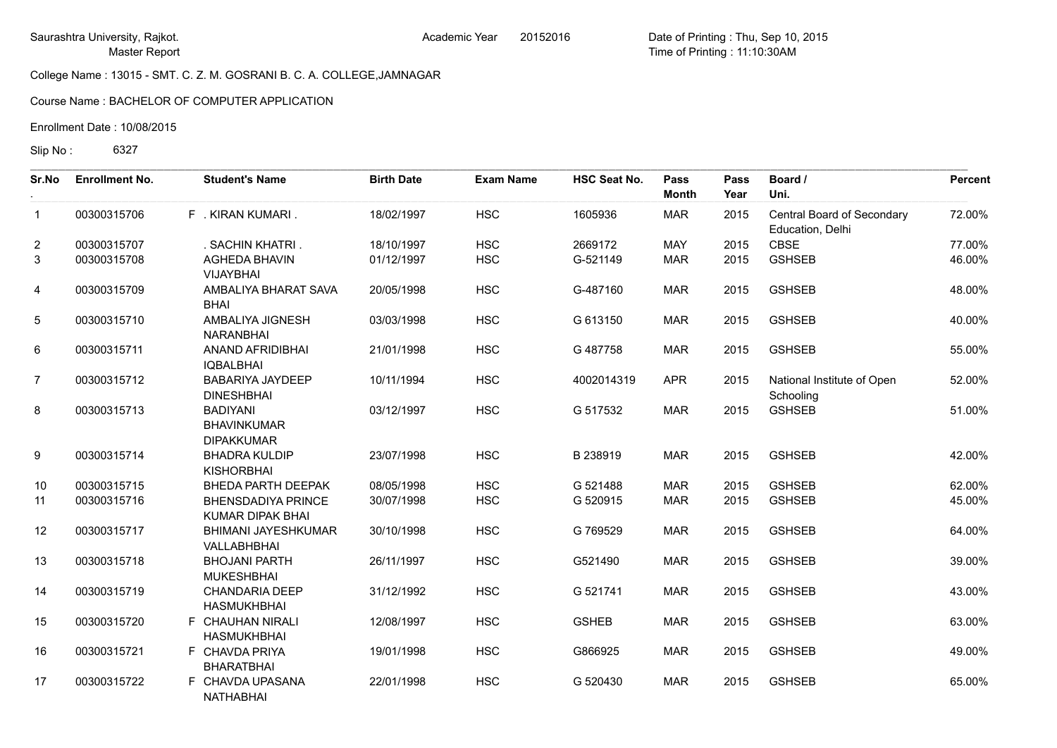Course Name : BACHELOR OF COMPUTER APPLICATION

Enrollment Date : 10/08/2015

Slip No: 6327

| Sr.No          | <b>Enrollment No.</b> | <b>Student's Name</b>                                      | <b>Birth Date</b> | <b>Exam Name</b> | <b>HSC Seat No.</b> | Pass<br><b>Month</b> | Pass<br>Year | Board /<br>Uni.                                | Percent |
|----------------|-----------------------|------------------------------------------------------------|-------------------|------------------|---------------------|----------------------|--------------|------------------------------------------------|---------|
| $\mathbf{1}$   | 00300315706           | F . KIRAN KUMARI.                                          | 18/02/1997        | <b>HSC</b>       | 1605936             | <b>MAR</b>           | 2015         | Central Board of Secondary<br>Education, Delhi | 72.00%  |
| $\overline{2}$ | 00300315707           | . SACHIN KHATRI.                                           | 18/10/1997        | <b>HSC</b>       | 2669172             | <b>MAY</b>           | 2015         | <b>CBSE</b>                                    | 77.00%  |
| 3              | 00300315708           | <b>AGHEDA BHAVIN</b><br><b>VIJAYBHAI</b>                   | 01/12/1997        | <b>HSC</b>       | G-521149            | <b>MAR</b>           | 2015         | <b>GSHSEB</b>                                  | 46.00%  |
| 4              | 00300315709           | AMBALIYA BHARAT SAVA<br><b>BHAI</b>                        | 20/05/1998        | <b>HSC</b>       | G-487160            | <b>MAR</b>           | 2015         | <b>GSHSEB</b>                                  | 48.00%  |
| 5              | 00300315710           | AMBALIYA JIGNESH<br>NARANBHAI                              | 03/03/1998        | <b>HSC</b>       | G 613150            | <b>MAR</b>           | 2015         | <b>GSHSEB</b>                                  | 40.00%  |
| $\,6$          | 00300315711           | ANAND AFRIDIBHAI<br><b>IQBALBHAI</b>                       | 21/01/1998        | <b>HSC</b>       | G 487758            | <b>MAR</b>           | 2015         | <b>GSHSEB</b>                                  | 55.00%  |
| $\overline{7}$ | 00300315712           | <b>BABARIYA JAYDEEP</b><br><b>DINESHBHAI</b>               | 10/11/1994        | <b>HSC</b>       | 4002014319          | <b>APR</b>           | 2015         | National Institute of Open<br>Schooling        | 52.00%  |
| 8              | 00300315713           | <b>BADIYANI</b><br><b>BHAVINKUMAR</b><br><b>DIPAKKUMAR</b> | 03/12/1997        | <b>HSC</b>       | G 517532            | <b>MAR</b>           | 2015         | <b>GSHSEB</b>                                  | 51.00%  |
| 9              | 00300315714           | <b>BHADRA KULDIP</b><br><b>KISHORBHAI</b>                  | 23/07/1998        | <b>HSC</b>       | B 238919            | <b>MAR</b>           | 2015         | <b>GSHSEB</b>                                  | 42.00%  |
| 10             | 00300315715           | BHEDA PARTH DEEPAK                                         | 08/05/1998        | <b>HSC</b>       | G 521488            | <b>MAR</b>           | 2015         | <b>GSHSEB</b>                                  | 62.00%  |
| 11             | 00300315716           | <b>BHENSDADIYA PRINCE</b><br><b>KUMAR DIPAK BHAI</b>       | 30/07/1998        | <b>HSC</b>       | G 520915            | <b>MAR</b>           | 2015         | <b>GSHSEB</b>                                  | 45.00%  |
| 12             | 00300315717           | <b>BHIMANI JAYESHKUMAR</b><br>VALLABHBHAI                  | 30/10/1998        | <b>HSC</b>       | G 769529            | <b>MAR</b>           | 2015         | <b>GSHSEB</b>                                  | 64.00%  |
| 13             | 00300315718           | <b>BHOJANI PARTH</b><br><b>MUKESHBHAI</b>                  | 26/11/1997        | <b>HSC</b>       | G521490             | <b>MAR</b>           | 2015         | <b>GSHSEB</b>                                  | 39.00%  |
| 14             | 00300315719           | <b>CHANDARIA DEEP</b><br><b>HASMUKHBHAI</b>                | 31/12/1992        | <b>HSC</b>       | G 521741            | <b>MAR</b>           | 2015         | <b>GSHSEB</b>                                  | 43.00%  |
| 15             | 00300315720           | F CHAUHAN NIRALI<br><b>HASMUKHBHAI</b>                     | 12/08/1997        | <b>HSC</b>       | <b>GSHEB</b>        | <b>MAR</b>           | 2015         | <b>GSHSEB</b>                                  | 63.00%  |
| 16             | 00300315721           | F CHAVDA PRIYA<br><b>BHARATBHAI</b>                        | 19/01/1998        | <b>HSC</b>       | G866925             | <b>MAR</b>           | 2015         | <b>GSHSEB</b>                                  | 49.00%  |
| 17             | 00300315722           | F CHAVDA UPASANA<br>NATHABHAI                              | 22/01/1998        | <b>HSC</b>       | G 520430            | <b>MAR</b>           | 2015         | <b>GSHSEB</b>                                  | 65.00%  |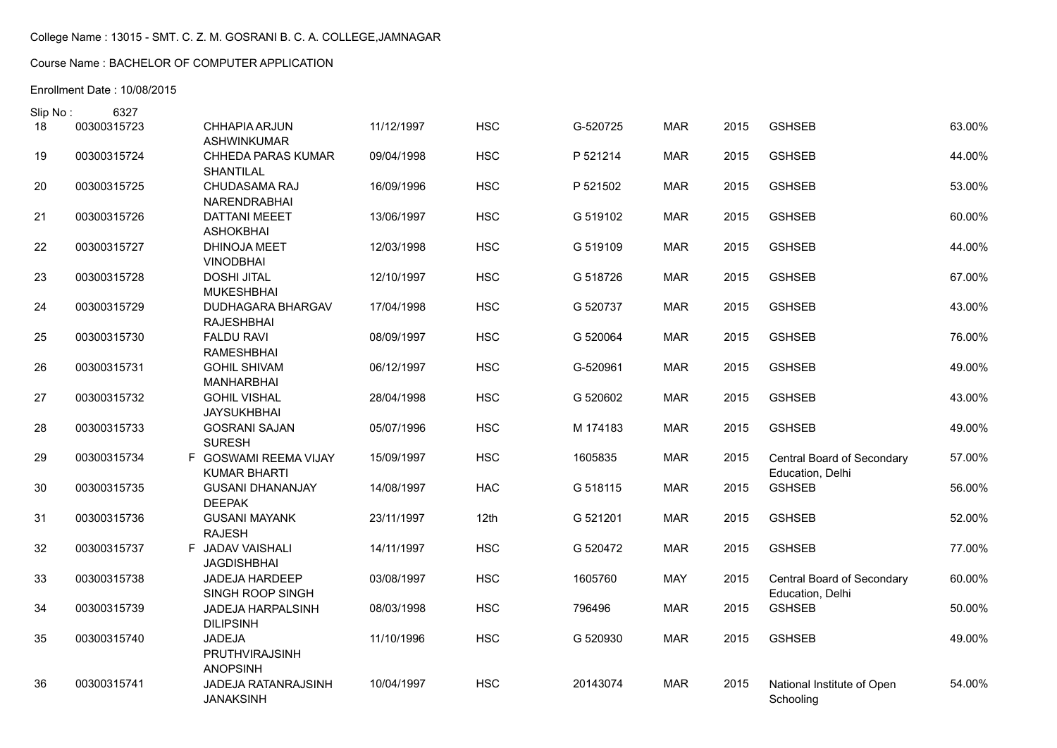# Course Name : BACHELOR OF COMPUTER APPLICATION

| Slip No: | 6327        |                                              |            |            |          |            |      |                                                |        |
|----------|-------------|----------------------------------------------|------------|------------|----------|------------|------|------------------------------------------------|--------|
| 18       | 00300315723 | <b>CHHAPIA ARJUN</b><br><b>ASHWINKUMAR</b>   | 11/12/1997 | <b>HSC</b> | G-520725 | <b>MAR</b> | 2015 | <b>GSHSEB</b>                                  | 63.00% |
| 19       | 00300315724 | <b>CHHEDA PARAS KUMAR</b><br>SHANTILAL       | 09/04/1998 | <b>HSC</b> | P 521214 | <b>MAR</b> | 2015 | <b>GSHSEB</b>                                  | 44.00% |
| 20       | 00300315725 | CHUDASAMA RAJ<br>NARENDRABHAI                | 16/09/1996 | <b>HSC</b> | P 521502 | <b>MAR</b> | 2015 | <b>GSHSEB</b>                                  | 53.00% |
| 21       | 00300315726 | <b>DATTANI MEEET</b><br><b>ASHOKBHAI</b>     | 13/06/1997 | <b>HSC</b> | G 519102 | <b>MAR</b> | 2015 | <b>GSHSEB</b>                                  | 60.00% |
| 22       | 00300315727 | DHINOJA MEET<br><b>VINODBHAI</b>             | 12/03/1998 | <b>HSC</b> | G 519109 | <b>MAR</b> | 2015 | <b>GSHSEB</b>                                  | 44.00% |
| 23       | 00300315728 | <b>DOSHI JITAL</b><br><b>MUKESHBHAI</b>      | 12/10/1997 | <b>HSC</b> | G 518726 | <b>MAR</b> | 2015 | <b>GSHSEB</b>                                  | 67.00% |
| 24       | 00300315729 | DUDHAGARA BHARGAV<br><b>RAJESHBHAI</b>       | 17/04/1998 | <b>HSC</b> | G 520737 | <b>MAR</b> | 2015 | <b>GSHSEB</b>                                  | 43.00% |
| 25       | 00300315730 | <b>FALDU RAVI</b><br><b>RAMESHBHAI</b>       | 08/09/1997 | <b>HSC</b> | G 520064 | <b>MAR</b> | 2015 | <b>GSHSEB</b>                                  | 76.00% |
| 26       | 00300315731 | <b>GOHIL SHIVAM</b><br><b>MANHARBHAI</b>     | 06/12/1997 | <b>HSC</b> | G-520961 | <b>MAR</b> | 2015 | <b>GSHSEB</b>                                  | 49.00% |
| 27       | 00300315732 | <b>GOHIL VISHAL</b><br><b>JAYSUKHBHAI</b>    | 28/04/1998 | <b>HSC</b> | G 520602 | <b>MAR</b> | 2015 | <b>GSHSEB</b>                                  | 43.00% |
| 28       | 00300315733 | <b>GOSRANI SAJAN</b><br><b>SURESH</b>        | 05/07/1996 | <b>HSC</b> | M 174183 | <b>MAR</b> | 2015 | <b>GSHSEB</b>                                  | 49.00% |
| 29       | 00300315734 | F GOSWAMI REEMA VIJAY<br><b>KUMAR BHARTI</b> | 15/09/1997 | <b>HSC</b> | 1605835  | <b>MAR</b> | 2015 | Central Board of Secondary<br>Education, Delhi | 57.00% |
| 30       | 00300315735 | <b>GUSANI DHANANJAY</b><br><b>DEEPAK</b>     | 14/08/1997 | <b>HAC</b> | G 518115 | <b>MAR</b> | 2015 | <b>GSHSEB</b>                                  | 56.00% |
| 31       | 00300315736 | <b>GUSANI MAYANK</b><br><b>RAJESH</b>        | 23/11/1997 | 12th       | G 521201 | <b>MAR</b> | 2015 | <b>GSHSEB</b>                                  | 52.00% |
| 32       | 00300315737 | F JADAV VAISHALI<br><b>JAGDISHBHAI</b>       | 14/11/1997 | <b>HSC</b> | G 520472 | <b>MAR</b> | 2015 | <b>GSHSEB</b>                                  | 77.00% |
| 33       | 00300315738 | <b>JADEJA HARDEEP</b><br>SINGH ROOP SINGH    | 03/08/1997 | <b>HSC</b> | 1605760  | <b>MAY</b> | 2015 | Central Board of Secondary<br>Education, Delhi | 60.00% |
| 34       | 00300315739 | <b>JADEJA HARPALSINH</b><br><b>DILIPSINH</b> | 08/03/1998 | <b>HSC</b> | 796496   | <b>MAR</b> | 2015 | <b>GSHSEB</b>                                  | 50.00% |
| 35       | 00300315740 | JADEJA<br>PRUTHVIRAJSINH<br><b>ANOPSINH</b>  | 11/10/1996 | <b>HSC</b> | G 520930 | <b>MAR</b> | 2015 | <b>GSHSEB</b>                                  | 49.00% |
| 36       | 00300315741 | JADEJA RATANRAJSINH<br><b>JANAKSINH</b>      | 10/04/1997 | <b>HSC</b> | 20143074 | <b>MAR</b> | 2015 | National Institute of Open<br>Schooling        | 54.00% |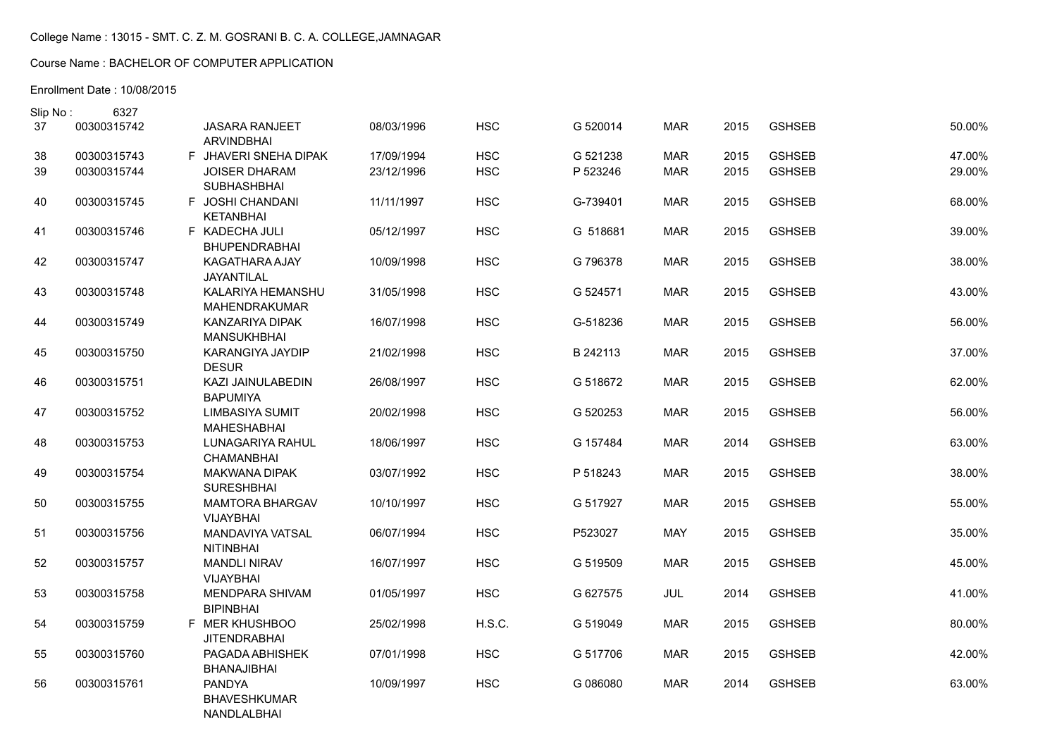# Course Name : BACHELOR OF COMPUTER APPLICATION

| Slip No: | 6327        |                                                     |            |            |          |            |      |               |        |
|----------|-------------|-----------------------------------------------------|------------|------------|----------|------------|------|---------------|--------|
| 37       | 00300315742 | <b>JASARA RANJEET</b><br><b>ARVINDBHAI</b>          | 08/03/1996 | <b>HSC</b> | G 520014 | <b>MAR</b> | 2015 | <b>GSHSEB</b> | 50.00% |
| 38       | 00300315743 | F JHAVERI SNEHA DIPAK                               | 17/09/1994 | <b>HSC</b> | G 521238 | <b>MAR</b> | 2015 | <b>GSHSEB</b> | 47.00% |
| 39       | 00300315744 | JOISER DHARAM<br><b>SUBHASHBHAI</b>                 | 23/12/1996 | <b>HSC</b> | P 523246 | <b>MAR</b> | 2015 | <b>GSHSEB</b> | 29.00% |
| 40       | 00300315745 | F JOSHI CHANDANI<br><b>KETANBHAI</b>                | 11/11/1997 | <b>HSC</b> | G-739401 | <b>MAR</b> | 2015 | <b>GSHSEB</b> | 68.00% |
| 41       | 00300315746 | F KADECHA JULI<br><b>BHUPENDRABHAI</b>              | 05/12/1997 | <b>HSC</b> | G 518681 | <b>MAR</b> | 2015 | <b>GSHSEB</b> | 39.00% |
| 42       | 00300315747 | KAGATHARA AJAY<br>JAYANTILAL                        | 10/09/1998 | <b>HSC</b> | G 796378 | <b>MAR</b> | 2015 | <b>GSHSEB</b> | 38.00% |
| 43       | 00300315748 | KALARIYA HEMANSHU<br>MAHENDRAKUMAR                  | 31/05/1998 | <b>HSC</b> | G 524571 | <b>MAR</b> | 2015 | <b>GSHSEB</b> | 43.00% |
| 44       | 00300315749 | KANZARIYA DIPAK<br><b>MANSUKHBHAI</b>               | 16/07/1998 | <b>HSC</b> | G-518236 | <b>MAR</b> | 2015 | <b>GSHSEB</b> | 56.00% |
| 45       | 00300315750 | <b>KARANGIYA JAYDIP</b><br><b>DESUR</b>             | 21/02/1998 | <b>HSC</b> | B 242113 | <b>MAR</b> | 2015 | <b>GSHSEB</b> | 37.00% |
| 46       | 00300315751 | KAZI JAINULABEDIN<br><b>BAPUMIYA</b>                | 26/08/1997 | <b>HSC</b> | G 518672 | <b>MAR</b> | 2015 | <b>GSHSEB</b> | 62.00% |
| 47       | 00300315752 | LIMBASIYA SUMIT<br><b>MAHESHABHAI</b>               | 20/02/1998 | <b>HSC</b> | G 520253 | <b>MAR</b> | 2015 | <b>GSHSEB</b> | 56.00% |
| 48       | 00300315753 | LUNAGARIYA RAHUL<br>CHAMANBHAI                      | 18/06/1997 | <b>HSC</b> | G 157484 | <b>MAR</b> | 2014 | <b>GSHSEB</b> | 63.00% |
| 49       | 00300315754 | <b>MAKWANA DIPAK</b><br><b>SURESHBHAI</b>           | 03/07/1992 | <b>HSC</b> | P 518243 | <b>MAR</b> | 2015 | <b>GSHSEB</b> | 38.00% |
| 50       | 00300315755 | <b>MAMTORA BHARGAV</b><br><b>VIJAYBHAI</b>          | 10/10/1997 | <b>HSC</b> | G 517927 | <b>MAR</b> | 2015 | <b>GSHSEB</b> | 55.00% |
| 51       | 00300315756 | MANDAVIYA VATSAL<br><b>NITINBHAI</b>                | 06/07/1994 | <b>HSC</b> | P523027  | <b>MAY</b> | 2015 | <b>GSHSEB</b> | 35.00% |
| 52       | 00300315757 | <b>MANDLI NIRAV</b><br><b>VIJAYBHAI</b>             | 16/07/1997 | <b>HSC</b> | G 519509 | <b>MAR</b> | 2015 | <b>GSHSEB</b> | 45.00% |
| 53       | 00300315758 | MENDPARA SHIVAM<br><b>BIPINBHAI</b>                 | 01/05/1997 | <b>HSC</b> | G 627575 | JUL        | 2014 | <b>GSHSEB</b> | 41.00% |
| 54       | 00300315759 | F MER KHUSHBOO<br><b>JITENDRABHAI</b>               | 25/02/1998 | H.S.C.     | G 519049 | <b>MAR</b> | 2015 | <b>GSHSEB</b> | 80.00% |
| 55       | 00300315760 | PAGADA ABHISHEK<br><b>BHANAJIBHAI</b>               | 07/01/1998 | <b>HSC</b> | G 517706 | <b>MAR</b> | 2015 | <b>GSHSEB</b> | 42.00% |
| 56       | 00300315761 | <b>PANDYA</b><br><b>BHAVESHKUMAR</b><br>NANDLALBHAI | 10/09/1997 | <b>HSC</b> | G 086080 | <b>MAR</b> | 2014 | <b>GSHSEB</b> | 63.00% |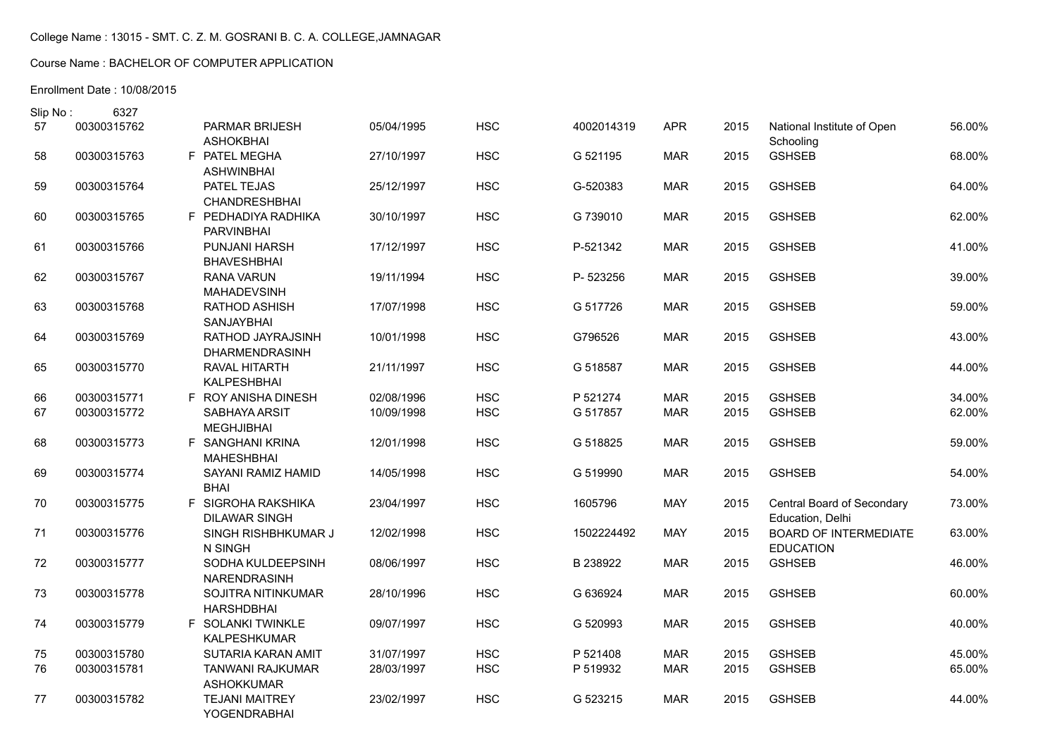# Course Name : BACHELOR OF COMPUTER APPLICATION

| Slip No: | 6327        |                                                |            |            |            |            |      |                                                  |        |
|----------|-------------|------------------------------------------------|------------|------------|------------|------------|------|--------------------------------------------------|--------|
| 57       | 00300315762 | PARMAR BRIJESH<br><b>ASHOKBHAI</b>             | 05/04/1995 | <b>HSC</b> | 4002014319 | <b>APR</b> | 2015 | National Institute of Open<br>Schooling          | 56.00% |
| 58       | 00300315763 | F PATEL MEGHA<br><b>ASHWINBHAI</b>             | 27/10/1997 | <b>HSC</b> | G 521195   | <b>MAR</b> | 2015 | <b>GSHSEB</b>                                    | 68.00% |
| 59       | 00300315764 | PATEL TEJAS<br><b>CHANDRESHBHAI</b>            | 25/12/1997 | <b>HSC</b> | G-520383   | <b>MAR</b> | 2015 | <b>GSHSEB</b>                                    | 64.00% |
| 60       | 00300315765 | F PEDHADIYA RADHIKA<br><b>PARVINBHAI</b>       | 30/10/1997 | <b>HSC</b> | G 739010   | <b>MAR</b> | 2015 | <b>GSHSEB</b>                                    | 62.00% |
| 61       | 00300315766 | <b>PUNJANI HARSH</b><br><b>BHAVESHBHAI</b>     | 17/12/1997 | <b>HSC</b> | P-521342   | <b>MAR</b> | 2015 | <b>GSHSEB</b>                                    | 41.00% |
| 62       | 00300315767 | <b>RANA VARUN</b><br><b>MAHADEVSINH</b>        | 19/11/1994 | <b>HSC</b> | P-523256   | <b>MAR</b> | 2015 | <b>GSHSEB</b>                                    | 39.00% |
| 63       | 00300315768 | RATHOD ASHISH<br>SANJAYBHAI                    | 17/07/1998 | <b>HSC</b> | G 517726   | <b>MAR</b> | 2015 | <b>GSHSEB</b>                                    | 59.00% |
| 64       | 00300315769 | RATHOD JAYRAJSINH<br>DHARMENDRASINH            | 10/01/1998 | <b>HSC</b> | G796526    | <b>MAR</b> | 2015 | <b>GSHSEB</b>                                    | 43.00% |
| 65       | 00300315770 | RAVAL HITARTH<br>KALPESHBHAI                   | 21/11/1997 | <b>HSC</b> | G 518587   | <b>MAR</b> | 2015 | <b>GSHSEB</b>                                    | 44.00% |
| 66       | 00300315771 | F ROY ANISHA DINESH                            | 02/08/1996 | <b>HSC</b> | P 521274   | <b>MAR</b> | 2015 | <b>GSHSEB</b>                                    | 34.00% |
| 67       | 00300315772 | SABHAYA ARSIT<br><b>MEGHJIBHAI</b>             | 10/09/1998 | <b>HSC</b> | G 517857   | <b>MAR</b> | 2015 | <b>GSHSEB</b>                                    | 62.00% |
| 68       | 00300315773 | F SANGHANI KRINA<br><b>MAHESHBHAI</b>          | 12/01/1998 | <b>HSC</b> | G 518825   | <b>MAR</b> | 2015 | <b>GSHSEB</b>                                    | 59.00% |
| 69       | 00300315774 | SAYANI RAMIZ HAMID<br><b>BHAI</b>              | 14/05/1998 | <b>HSC</b> | G 519990   | <b>MAR</b> | 2015 | <b>GSHSEB</b>                                    | 54.00% |
| 70       | 00300315775 | F SIGROHA RAKSHIKA<br><b>DILAWAR SINGH</b>     | 23/04/1997 | <b>HSC</b> | 1605796    | <b>MAY</b> | 2015 | Central Board of Secondary<br>Education, Delhi   | 73.00% |
| 71       | 00300315776 | SINGH RISHBHKUMAR J<br>N SINGH                 | 12/02/1998 | <b>HSC</b> | 1502224492 | <b>MAY</b> | 2015 | <b>BOARD OF INTERMEDIATE</b><br><b>EDUCATION</b> | 63.00% |
| 72       | 00300315777 | SODHA KULDEEPSINH<br>NARENDRASINH              | 08/06/1997 | <b>HSC</b> | B 238922   | <b>MAR</b> | 2015 | <b>GSHSEB</b>                                    | 46.00% |
| 73       | 00300315778 | <b>SOJITRA NITINKUMAR</b><br><b>HARSHDBHAI</b> | 28/10/1996 | <b>HSC</b> | G 636924   | <b>MAR</b> | 2015 | <b>GSHSEB</b>                                    | 60.00% |
| 74       | 00300315779 | F SOLANKI TWINKLE<br><b>KALPESHKUMAR</b>       | 09/07/1997 | <b>HSC</b> | G 520993   | <b>MAR</b> | 2015 | <b>GSHSEB</b>                                    | 40.00% |
| 75       | 00300315780 | <b>SUTARIA KARAN AMIT</b>                      | 31/07/1997 | <b>HSC</b> | P 521408   | <b>MAR</b> | 2015 | <b>GSHSEB</b>                                    | 45.00% |
| 76       | 00300315781 | <b>TANWANI RAJKUMAR</b><br><b>ASHOKKUMAR</b>   | 28/03/1997 | <b>HSC</b> | P 519932   | <b>MAR</b> | 2015 | <b>GSHSEB</b>                                    | 65.00% |
| 77       | 00300315782 | <b>TEJANI MAITREY</b><br>YOGENDRABHAI          | 23/02/1997 | <b>HSC</b> | G 523215   | <b>MAR</b> | 2015 | <b>GSHSEB</b>                                    | 44.00% |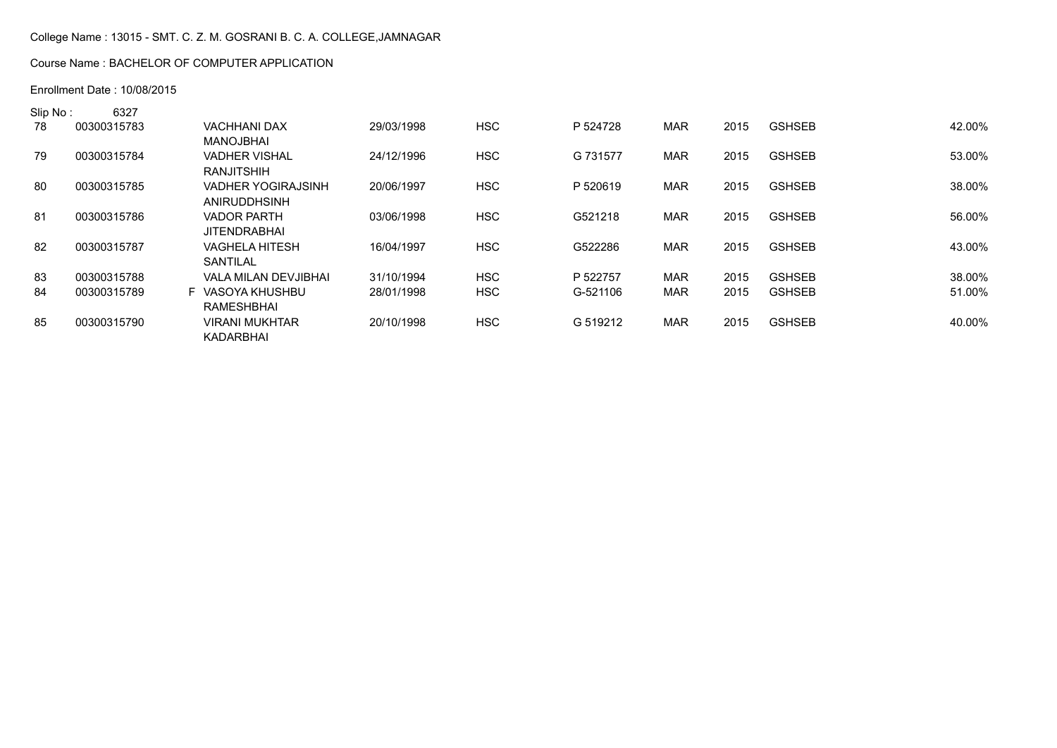### Course Name : BACHELOR OF COMPUTER APPLICATION

| Slip No: | 6327        |                           |            |            |          |            |      |               |        |
|----------|-------------|---------------------------|------------|------------|----------|------------|------|---------------|--------|
| 78       | 00300315783 | <b>VACHHANI DAX</b>       | 29/03/1998 | <b>HSC</b> | P 524728 | <b>MAR</b> | 2015 | <b>GSHSEB</b> | 42.00% |
|          |             | MANOJBHAI                 |            |            |          |            |      |               |        |
| 79       | 00300315784 | <b>VADHER VISHAL</b>      | 24/12/1996 | <b>HSC</b> | G 731577 | <b>MAR</b> | 2015 | <b>GSHSEB</b> | 53.00% |
|          |             | <b>RANJITSHIH</b>         |            |            |          |            |      |               |        |
| 80       | 00300315785 | <b>VADHER YOGIRAJSINH</b> | 20/06/1997 | <b>HSC</b> | P 520619 | <b>MAR</b> | 2015 | <b>GSHSEB</b> | 38.00% |
|          |             | ANIRUDDHSINH              |            |            |          |            |      |               |        |
| -81      | 00300315786 | <b>VADOR PARTH</b>        | 03/06/1998 | <b>HSC</b> | G521218  | MAR        | 2015 | <b>GSHSEB</b> | 56.00% |
|          |             | <b>JITENDRABHAI</b>       |            |            |          |            |      |               |        |
| 82       | 00300315787 | VAGHELA HITESH            | 16/04/1997 | <b>HSC</b> | G522286  | <b>MAR</b> | 2015 | <b>GSHSEB</b> | 43.00% |
|          |             | <b>SANTILAL</b>           |            |            |          |            |      |               |        |
| 83       | 00300315788 | VALA MILAN DEVJIBHAI      | 31/10/1994 | <b>HSC</b> | P 522757 | <b>MAR</b> | 2015 | <b>GSHSEB</b> | 38.00% |
| 84       | 00300315789 | F VASOYA KHUSHBU          | 28/01/1998 | <b>HSC</b> | G-521106 | MAR        | 2015 | <b>GSHSEB</b> | 51.00% |
|          |             | <b>RAMESHBHAI</b>         |            |            |          |            |      |               |        |
| 85       | 00300315790 | <b>VIRANI MUKHTAR</b>     | 20/10/1998 | <b>HSC</b> | G 519212 | MAR        | 2015 | <b>GSHSEB</b> | 40.00% |
|          |             | KADARBHAI                 |            |            |          |            |      |               |        |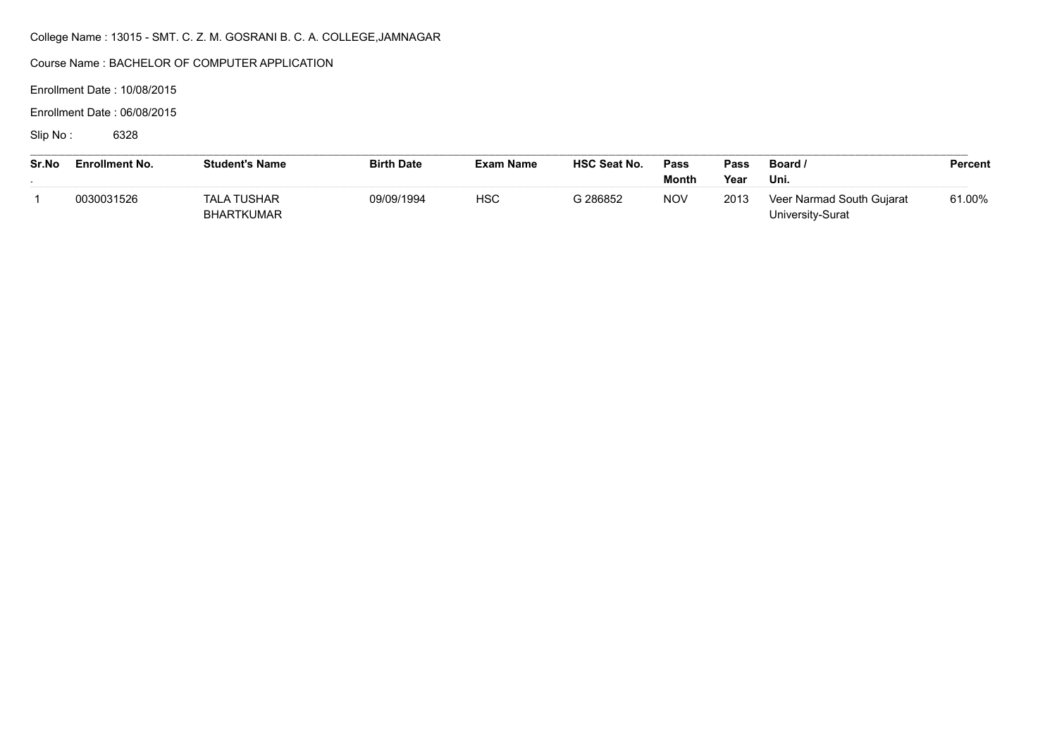Course Name : BACHELOR OF COMPUTER APPLICATION

Enrollment Date : 10/08/2015

Enrollment Date : 06/08/2015

Slip No: 6328

| Sr.No | <b>Enrollment No.</b> | <b>Student's Name</b>            | <b>Birth Date</b> | Exam Name  | <b>HSC Seat No.</b> | Pass<br>Month | Pass<br>Year | Board /<br>Uni.                               | Percent |
|-------|-----------------------|----------------------------------|-------------------|------------|---------------------|---------------|--------------|-----------------------------------------------|---------|
|       | 0030031526            | TALA TUSHAR<br><b>BHARTKUMAR</b> | 09/09/1994        | <b>HSC</b> | G 286852            | <b>NOV</b>    | 2013         | Veer Narmad South Gujarat<br>University-Surat | 61.00%  |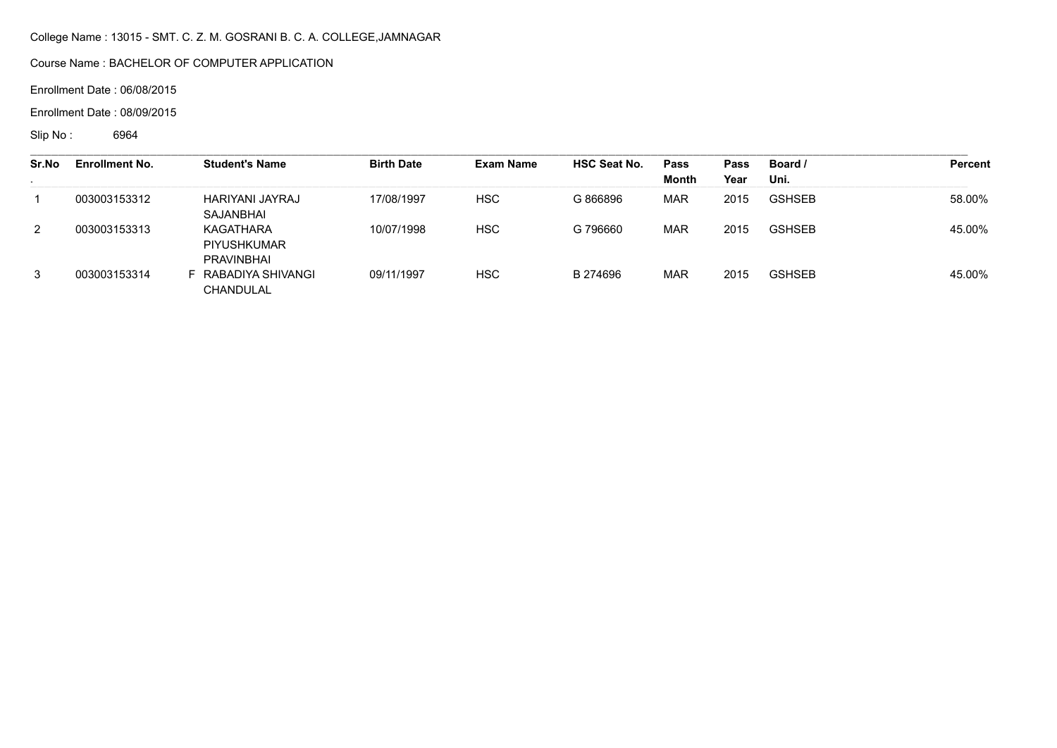Course Name : BACHELOR OF COMPUTER APPLICATION

Enrollment Date : 06/08/2015

Enrollment Date : 08/09/2015

Slip No : 6964

| Sr.No<br>$\sim$ | <b>Enrollment No.</b> | <b>Student's Name</b>                  | <b>Birth Date</b> | <b>Exam Name</b> | <b>HSC Seat No.</b> | Pass<br>Month | Pass<br>Year | Board /<br>Uni. | Percent |
|-----------------|-----------------------|----------------------------------------|-------------------|------------------|---------------------|---------------|--------------|-----------------|---------|
|                 | 003003153312          | HARIYANI JAYRAJ<br>SAJANBHAI           | 17/08/1997        | <b>HSC</b>       | G 866896            | <b>MAR</b>    | 2015         | <b>GSHSEB</b>   | 58.00%  |
| $\overline{2}$  | 003003153313          | KAGATHARA<br>PIYUSHKUMAR<br>PRAVINBHAI | 10/07/1998        | <b>HSC</b>       | G 796660            | <b>MAR</b>    | 2015         | <b>GSHSEB</b>   | 45.00%  |
| 3               | 003003153314          | RABADIYA SHIVANGI<br>CHANDULAL         | 09/11/1997        | <b>HSC</b>       | B 274696            | <b>MAR</b>    | 2015         | <b>GSHSEB</b>   | 45.00%  |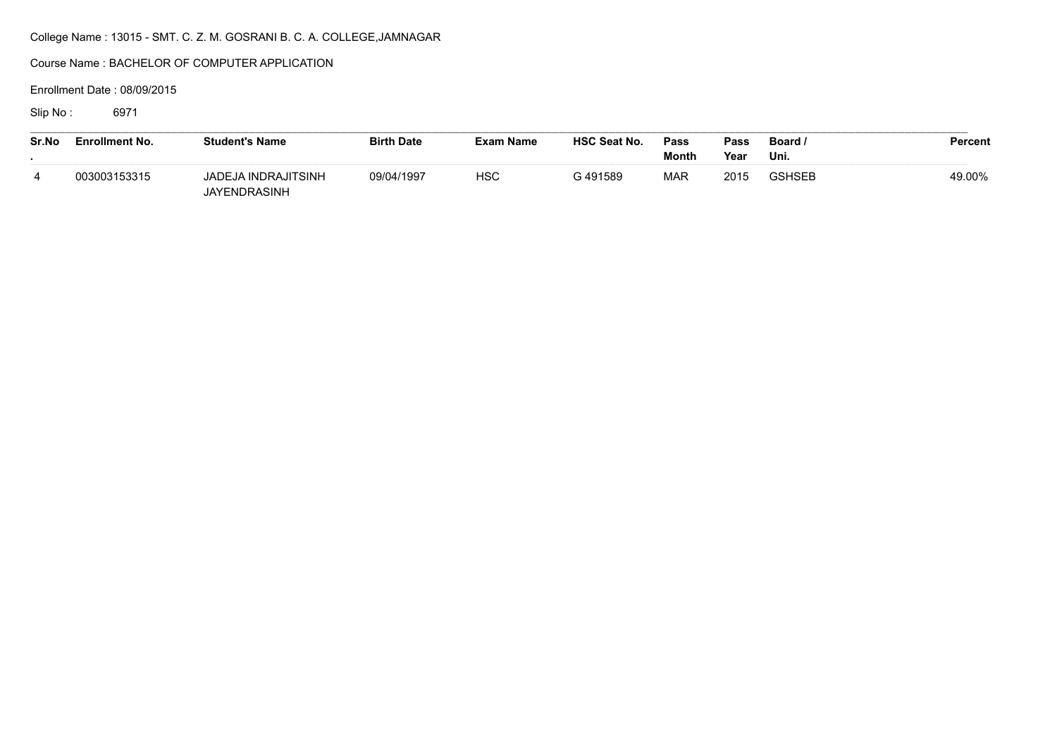Course Name : BACHELOR OF COMPUTER APPLICATION

Enrollment Date : 08/09/2015

Slip No : 6971

| Sr.No | <b>Enrollment No.</b> | <b>Student's Name</b>               | <b>Birth Date</b> | <b>Exam Name</b> | <b>HSC Seat No.</b> | Pass<br>Month | Pass<br>Year | Board /<br>Uni. | <b>Percent</b> |
|-------|-----------------------|-------------------------------------|-------------------|------------------|---------------------|---------------|--------------|-----------------|----------------|
|       | 003003153315          | JADEJA INDRAJITSINH<br>JAYENDRASINH | 09/04/1997        | <b>HSC</b>       | G 491589            | <b>MAR</b>    | 2015         | <b>GSHSEB</b>   | 49.00%         |